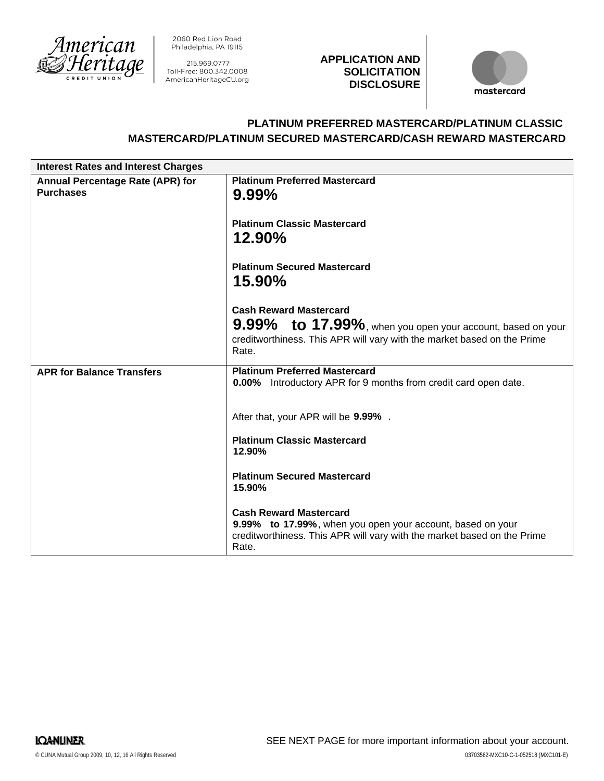

2060 Red Lion Road Philadelphia, PA 19115

215.969.0777 Toll-Free: 800.342.0008 AmericanHeritageCU.org

## **APPLICATION AND SOLICITATION DISCLOSURE**



# **PLATINUM PREFERRED MASTERCARD/PLATINUM CLASSIC MASTERCARD/PLATINUM SECURED MASTERCARD/CASH REWARD MASTERCARD**

| <b>Interest Rates and Interest Charges</b>                  |                                                                                                                                                                                 |
|-------------------------------------------------------------|---------------------------------------------------------------------------------------------------------------------------------------------------------------------------------|
| <b>Annual Percentage Rate (APR) for</b><br><b>Purchases</b> | <b>Platinum Preferred Mastercard</b><br>$9.99\%$                                                                                                                                |
|                                                             | <b>Platinum Classic Mastercard</b><br>12.90%                                                                                                                                    |
|                                                             | <b>Platinum Secured Mastercard</b><br>15.90%                                                                                                                                    |
|                                                             | <b>Cash Reward Mastercard</b>                                                                                                                                                   |
|                                                             | 9.99% to 17.99%, when you open your account, based on your                                                                                                                      |
|                                                             | creditworthiness. This APR will vary with the market based on the Prime<br>Rate.                                                                                                |
| <b>APR for Balance Transfers</b>                            | <b>Platinum Preferred Mastercard</b><br>0.00% Introductory APR for 9 months from credit card open date.                                                                         |
|                                                             | After that, your APR will be 9.99%.                                                                                                                                             |
|                                                             | <b>Platinum Classic Mastercard</b><br>12.90%                                                                                                                                    |
|                                                             | <b>Platinum Secured Mastercard</b><br>15.90%                                                                                                                                    |
|                                                             | <b>Cash Reward Mastercard</b><br>9.99% to 17.99%, when you open your account, based on your<br>creditworthiness. This APR will vary with the market based on the Prime<br>Rate. |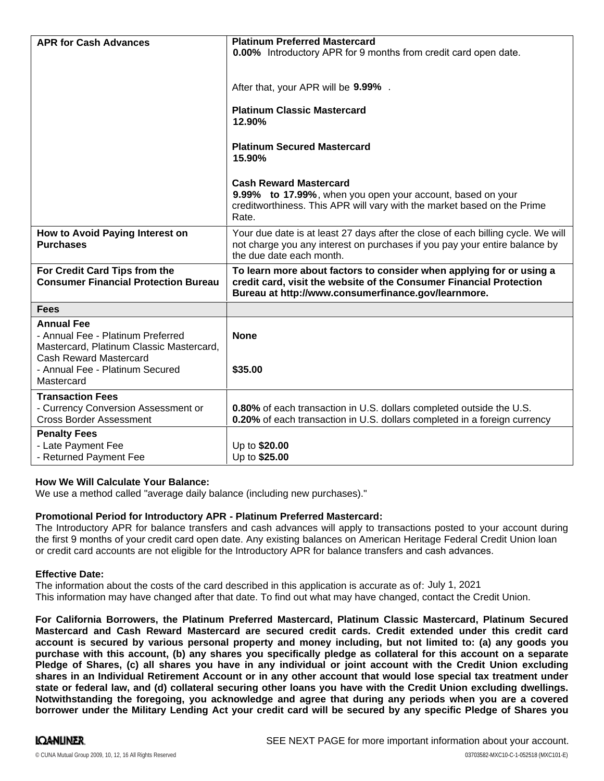| <b>APR for Cash Advances</b>                                                                                                                                                         | <b>Platinum Preferred Mastercard</b><br><b>0.00%</b> Introductory APR for 9 months from credit card open date.<br>After that, your APR will be 9.99%.<br><b>Platinum Classic Mastercard</b><br>12.90%<br><b>Platinum Secured Mastercard</b><br>15.90%<br><b>Cash Reward Mastercard</b><br>9.99% to 17.99%, when you open your account, based on your<br>creditworthiness. This APR will vary with the market based on the Prime<br>Rate. |
|--------------------------------------------------------------------------------------------------------------------------------------------------------------------------------------|------------------------------------------------------------------------------------------------------------------------------------------------------------------------------------------------------------------------------------------------------------------------------------------------------------------------------------------------------------------------------------------------------------------------------------------|
| How to Avoid Paying Interest on<br><b>Purchases</b>                                                                                                                                  | Your due date is at least 27 days after the close of each billing cycle. We will<br>not charge you any interest on purchases if you pay your entire balance by<br>the due date each month.                                                                                                                                                                                                                                               |
| For Credit Card Tips from the<br><b>Consumer Financial Protection Bureau</b>                                                                                                         | To learn more about factors to consider when applying for or using a<br>credit card, visit the website of the Consumer Financial Protection<br>Bureau at http://www.consumerfinance.gov/learnmore.                                                                                                                                                                                                                                       |
| <b>Fees</b>                                                                                                                                                                          |                                                                                                                                                                                                                                                                                                                                                                                                                                          |
| <b>Annual Fee</b><br>- Annual Fee - Platinum Preferred<br>Mastercard, Platinum Classic Mastercard,<br><b>Cash Reward Mastercard</b><br>- Annual Fee - Platinum Secured<br>Mastercard | <b>None</b><br>\$35.00                                                                                                                                                                                                                                                                                                                                                                                                                   |
| <b>Transaction Fees</b><br>- Currency Conversion Assessment or<br><b>Cross Border Assessment</b>                                                                                     | 0.80% of each transaction in U.S. dollars completed outside the U.S.<br>0.20% of each transaction in U.S. dollars completed in a foreign currency                                                                                                                                                                                                                                                                                        |
| <b>Penalty Fees</b><br>- Late Payment Fee<br>- Returned Payment Fee                                                                                                                  | Up to \$20.00<br>Up to \$25.00                                                                                                                                                                                                                                                                                                                                                                                                           |

## **How We Will Calculate Your Balance:**

We use a method called "average daily balance (including new purchases)."

## **Promotional Period for Introductory APR - Platinum Preferred Mastercard:**

The Introductory APR for balance transfers and cash advances will apply to transactions posted to your account during the first 9 months of your credit card open date. Any existing balances on American Heritage Federal Credit Union loan or credit card accounts are not eligible for the Introductory APR for balance transfers and cash advances.

## **Effective Date:**

The information about the costs of the card described in this application is accurate as of: July 1, 2021This information may have changed after that date. To find out what may have changed, contact the Credit Union.

**For California Borrowers, the Platinum Preferred Mastercard, Platinum Classic Mastercard, Platinum Secured Mastercard and Cash Reward Mastercard are secured credit cards. Credit extended under this credit card** account is secured by various personal property and money including, but not limited to: (a) any goods you purchase with this account, (b) any shares you specifically pledge as collateral for this account on a separate Pledge of Shares, (c) all shares you have in any individual or joint account with the Credit Union excluding shares in an Individual Retirement Account or in any other account that would lose special tax treatment under state or federal law, and (d) collateral securing other loans you have with the Credit Union excluding dwellings. **Notwithstanding the foregoing, you acknowledge and agree that during any periods when you are a covered** borrower under the Military Lending Act your credit card will be secured by any specific Pledge of Shares you